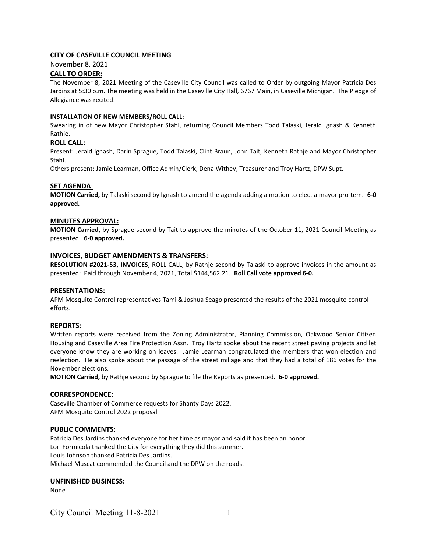# CITY OF CASEVILLE COUNCIL MEETING

November 8, 2021

# CALL TO ORDER:

The November 8, 2021 Meeting of the Caseville City Council was called to Order by outgoing Mayor Patricia Des Jardins at 5:30 p.m. The meeting was held in the Caseville City Hall, 6767 Main, in Caseville Michigan. The Pledge of Allegiance was recited.

## INSTALLATION OF NEW MEMBERS/ROLL CALL:

Swearing in of new Mayor Christopher Stahl, returning Council Members Todd Talaski, Jerald Ignash & Kenneth Rathje.

## ROLL CALL:

Present: Jerald Ignash, Darin Sprague, Todd Talaski, Clint Braun, John Tait, Kenneth Rathje and Mayor Christopher Stahl.

Others present: Jamie Learman, Office Admin/Clerk, Dena Withey, Treasurer and Troy Hartz, DPW Supt.

### SET AGENDA:

MOTION Carried, by Talaski second by Ignash to amend the agenda adding a motion to elect a mayor pro-tem. 6-0 approved.

### MINUTES APPROVAL:

MOTION Carried, by Sprague second by Tait to approve the minutes of the October 11, 2021 Council Meeting as presented. 6-0 approved.

### INVOICES, BUDGET AMENDMENTS & TRANSFERS:

RESOLUTION #2021-53, INVOICES, ROLL CALL, by Rathje second by Talaski to approve invoices in the amount as presented: Paid through November 4, 2021, Total \$144,562.21. Roll Call vote approved 6-0.

#### PRESENTATIONS:

APM Mosquito Control representatives Tami & Joshua Seago presented the results of the 2021 mosquito control efforts.

#### REPORTS:

Written reports were received from the Zoning Administrator, Planning Commission, Oakwood Senior Citizen Housing and Caseville Area Fire Protection Assn. Troy Hartz spoke about the recent street paving projects and let everyone know they are working on leaves. Jamie Learman congratulated the members that won election and reelection. He also spoke about the passage of the street millage and that they had a total of 186 votes for the November elections.

MOTION Carried, by Rathje second by Sprague to file the Reports as presented. 6-0 approved.

#### CORRESPONDENCE:

Caseville Chamber of Commerce requests for Shanty Days 2022. APM Mosquito Control 2022 proposal

# PUBLIC COMMENTS:

Patricia Des Jardins thanked everyone for her time as mayor and said it has been an honor. Lori Formicola thanked the City for everything they did this summer. Louis Johnson thanked Patricia Des Jardins. Michael Muscat commended the Council and the DPW on the roads.

#### UNFINISHED BUSINESS:

None

City Council Meeting  $11-8-2021$  1